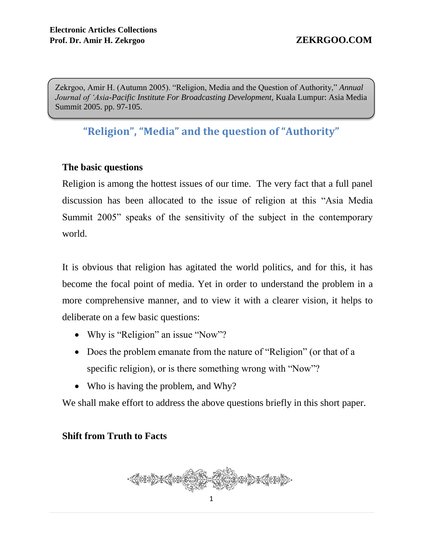Zekrgoo, Amir H. (Autumn 2005). "Religion, Media and the Question of Authority," *Annual Journal of 'Asia-Pacific Institute For Broadcasting Development,* Kuala Lumpur: Asia Media Summit 2005. pp. 97-105.

# **"Religion", "Media" and the question of "Authority"**

### **The basic questions**

Religion is among the hottest issues of our time. The very fact that a full panel discussion has been allocated to the issue of religion at this "Asia Media Summit 2005" speaks of the sensitivity of the subject in the contemporary world.

It is obvious that religion has agitated the world politics, and for this, it has become the focal point of media. Yet in order to understand the problem in a more comprehensive manner, and to view it with a clearer vision, it helps to deliberate on a few basic questions:

- Why is "Religion" an issue "Now"?
- Does the problem emanate from the nature of "Religion" (or that of a specific religion), or is there something wrong with "Now"?
- Who is having the problem, and Why?

We shall make effort to address the above questions briefly in this short paper.

## **Shift from Truth to Facts**

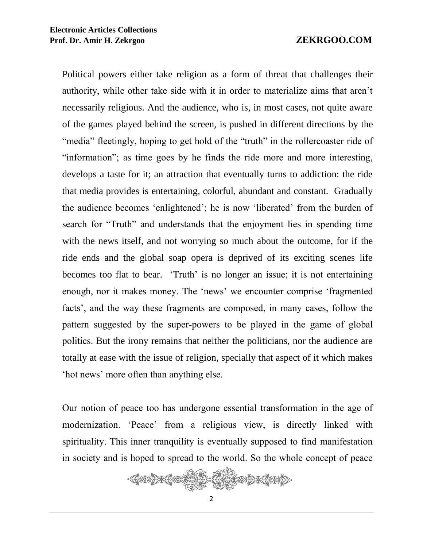Political powers either take religion as a form of threat that challenges their authority, while other take side with it in order to materialize aims that aren't necessarily religious. And the audience, who is, in most cases, not quite aware of the games played behind the screen, is pushed in different directions by the "media" fleetingly, hoping to get hold of the "truth" in the roller coaster ride of "information"; as time goes by he finds the ride more and more interesting, develops a taste for it; an attraction that eventually turns to addiction: the ride that media provides is entertaining, colorful, abundant and constant. Gradually the audience becomes 'enlightened'; he is now 'liberated' from the burden of search for "Truth" and understands that the enjoyment lies in spending time with the news itself, and not worrying so much about the outcome, for if the ride ends and the global soap opera is deprived of its exciting scenes life becomes too flat to bear. 'Truth' is no longer an issue; it is not entertaining enough, nor it makes money. The 'news' we encounter comprise 'fragmented facts', and the way these fragments are composed, in many cases, follow the pattern suggested by the super-powers to be played in the game of global politics. But the irony remains that neither the politicians, nor the audience are totally at ease with the issue of religion, specially that aspect of it which makes 'hot news' more often than anything else.

Our notion of peace too has undergone essential transformation in the age of modernization. 'Peace' from a religious view, is directly linked with spirituality. This inner tranquility is eventually supposed to find manifestation in society and is hoped to spread to the world. So the whole concept of peace

 $\mathbb{R}$  $\Rightarrow$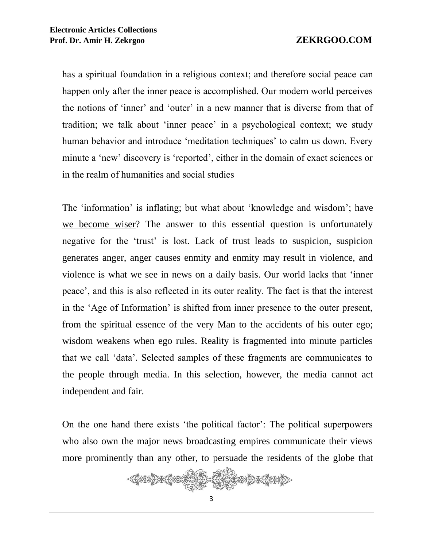has a spiritual foundation in a religious context; and therefore social peace can happen only after the inner peace is accomplished. Our modern world perceives the notions of 'inner' and 'outer' in a new manner that is diverse from that of tradition; we talk about 'inner peace' in a psychological context; we study human behavior and introduce 'meditation techniques' to calm us down. Every minute a 'new' discovery is 'reported', either in the domain of exact sciences or in the realm of humanities and social studies

The 'information' is inflating; but what about 'knowledge and wisdom'; have we become wiser? The answer to this essential question is unfortunately negative for the 'trust' is lost. Lack of trust leads to suspicion, suspicion generates anger, anger causes enmity and enmity may result in violence, and violence is what we see in news on a daily basis. Our world lacks that 'inner peace', and this is also reflected in its outer reality. The fact is that the interest in the 'Age of Information' is shifted from inner presence to the outer present, from the spiritual essence of the very Man to the accidents of his outer ego; wisdom weakens when ego rules. Reality is fragmented into minute particles that we call 'data'. Selected samples of these fragments are communicates to the people through media. In this selection, however, the media cannot act independent and fair.

On the one hand there exists 'the political factor': The political superpowers who also own the major news broadcasting empires communicate their views more prominently than any other, to persuade the residents of the globe that

 $\mathbb{R}$  $\bigcirc$   $\bigcirc$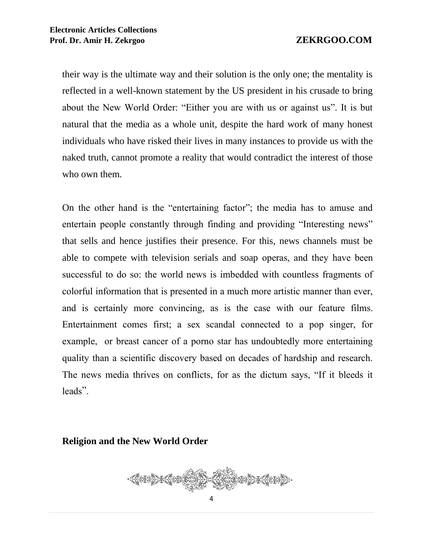their way is the ultimate way and their solution is the only one; the mentality is reflected in a well-known statement by the US president in his crusade to bring about the New World Order: "Either you are with us or against us". It is but natural that the media as a whole unit, despite the hard work of many honest individuals who have risked their lives in many instances to provide us with the naked truth, cannot promote a reality that would contradict the interest of those who own them.

On the other hand is the "entertaining factor"; the media has to amuse and entertain people constantly through finding and providing "Interesting news" that sells and hence justifies their presence. For this, news channels must be able to compete with television serials and soap operas, and they have been successful to do so: the world news is imbedded with countless fragments of colorful information that is presented in a much more artistic manner than ever, and is certainly more convincing, as is the case with our feature films. Entertainment comes first; a sex scandal connected to a pop singer, for example, or breast cancer of a porno star has undoubtedly more entertaining quality than a scientific discovery based on decades of hardship and research. The news media thrives on conflicts, for as the dictum says, "If it bleeds it leads".

### **Religion and the New World Order**

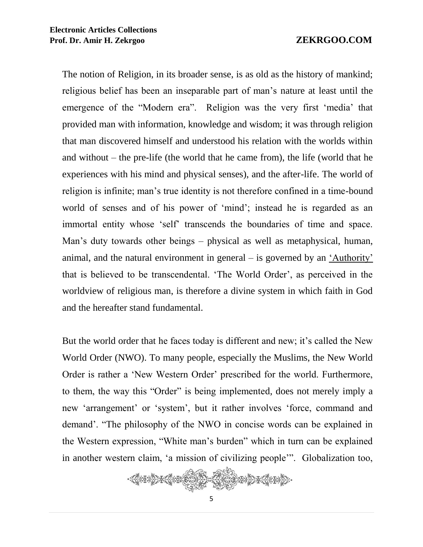The notion of Religion, in its broader sense, is as old as the history of mankind; religious belief has been an inseparable part of man's nature at least until the emergence of the "Modern era". Religion was the very first 'media' that provided man with information, knowledge and wisdom; it was through religion that man discovered himself and understood his relation with the worlds within and without – the pre-life (the world that he came from), the life (world that he experiences with his mind and physical senses), and the after-life. The world of religion is infinite; man's true identity is not therefore confined in a time-bound world of senses and of his power of 'mind'; instead he is regarded as an immortal entity whose 'self' transcends the boundaries of time and space. Man's duty towards other beings – physical as well as metaphysical, human, animal, and the natural environment in general – is governed by an 'Authority' that is believed to be transcendental. 'The World Order', as perceived in the worldview of religious man, is therefore a divine system in which faith in God and the hereafter stand fundamental.

But the world order that he faces today is different and new; it's called the New World Order (NWO). To many people, especially the Muslims, the New World Order is rather a 'New Western Order' prescribed for the world. Furthermore, to them, the way this "Order" is being implemented, does not merely imply a new 'arrangement' or 'system', but it rather involves 'force, command and demand'. "The philosophy of the NWO in concise words can be explained in the Western expression, "White man's burden" which in turn can be explained in another western claim, 'a mission of civilizing people'". Globalization too,

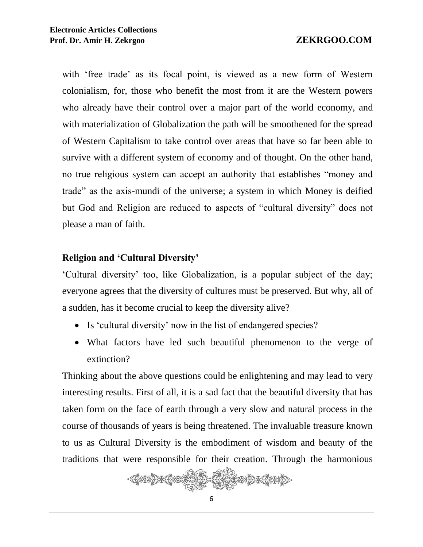with 'free trade' as its focal point, is viewed as a new form of Western colonialism, for, those who benefit the most from it are the Western powers who already have their control over a major part of the world economy, and with materialization of Globalization the path will be smoothened for the spread of Western Capitalism to take control over areas that have so far been able to survive with a different system of economy and of thought. On the other hand, no true religious system can accept an authority that establishes "money and trade" as the axis-mundi of the universe; a system in which Money is deified but God and Religion are reduced to aspects of "cultural diversity" does not please a man of faith.

## **Religion and 'Cultural Diversity'**

'Cultural diversity' too, like Globalization, is a popular subject of the day; everyone agrees that the diversity of cultures must be preserved. But why, all of a sudden, has it become crucial to keep the diversity alive?

- Is 'cultural diversity' now in the list of endangered species?
- What factors have led such beautiful phenomenon to the verge of extinction?

Thinking about the above questions could be enlightening and may lead to very interesting results. First of all, it is a sad fact that the beautiful diversity that has taken form on the face of earth through a very slow and natural process in the course of thousands of years is being threatened. The invaluable treasure known to us as Cultural Diversity is the embodiment of wisdom and beauty of the traditions that were responsible for their creation. Through the harmonious

《卷子卷》张卷张 STAR BART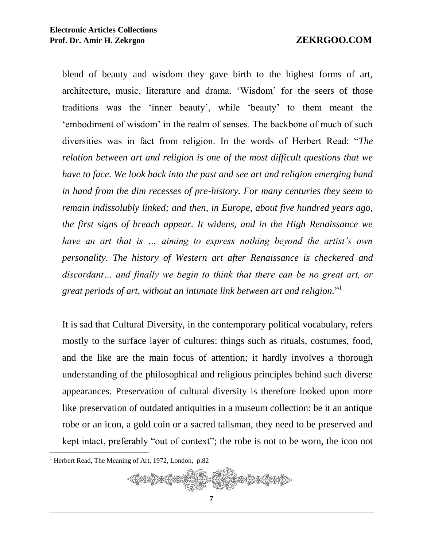blend of beauty and wisdom they gave birth to the highest forms of art, architecture, music, literature and drama. 'Wisdom' for the seers of those traditions was the 'inner beauty', while 'beauty' to them meant the 'embodiment of wisdom' in the realm of senses. The backbone of much of such diversities was in fact from religion. In the words of Herbert Read: "*The relation between art and religion is one of the most difficult questions that we have to face. We look back into the past and see art and religion emerging hand in hand from the dim recesses of pre-history. For many centuries they seem to remain indissolubly linked; and then, in Europe, about five hundred years ago, the first signs of breach appear. It widens, and in the High Renaissance we have an art that is … aiming to express nothing beyond the artist's own personality. The history of Western art after Renaissance is checkered and discordant… and finally we begin to think that there can be no great art, or great periods of art, without an intimate link between art and religion.*" 1

It is sad that Cultural Diversity, in the contemporary political vocabulary, refers mostly to the surface layer of cultures: things such as rituals, costumes, food, and the like are the main focus of attention; it hardly involves a thorough understanding of the philosophical and religious principles behind such diverse appearances. Preservation of cultural diversity is therefore looked upon more like preservation of outdated antiquities in a museum collection: be it an antique robe or an icon, a gold coin or a sacred talisman, they need to be preserved and kept intact, preferably "out of context"; the robe is not to be worn, the icon not

 $\overline{a}$ <sup>1</sup> Herbert Read, The Meaning of Art, 1972, London, p.82

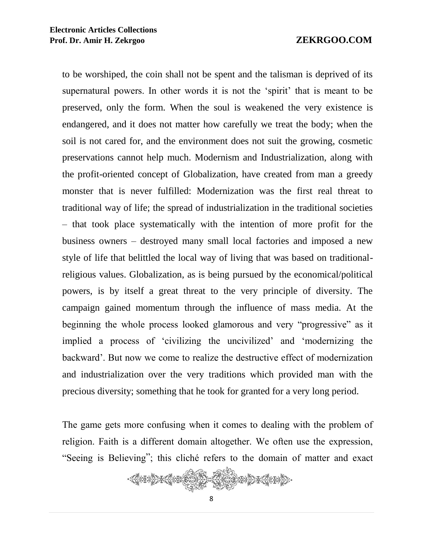to be worshiped, the coin shall not be spent and the talisman is deprived of its supernatural powers. In other words it is not the 'spirit' that is meant to be preserved, only the form. When the soul is weakened the very existence is endangered, and it does not matter how carefully we treat the body; when the soil is not cared for, and the environment does not suit the growing, cosmetic preservations cannot help much. Modernism and Industrialization, along with the profit-oriented concept of Globalization, have created from man a greedy monster that is never fulfilled: Modernization was the first real threat to traditional way of life; the spread of industrialization in the traditional societies – that took place systematically with the intention of more profit for the business owners – destroyed many small local factories and imposed a new style of life that belittled the local way of living that was based on traditionalreligious values. Globalization, as is being pursued by the economical/political powers, is by itself a great threat to the very principle of diversity. The campaign gained momentum through the influence of mass media. At the beginning the whole process looked glamorous and very "progressive" as it implied a process of 'civilizing the uncivilized' and 'modernizing the backward'. But now we come to realize the destructive effect of modernization and industrialization over the very traditions which provided man with the precious diversity; something that he took for granted for a very long period.

The game gets more confusing when it comes to dealing with the problem of religion. Faith is a different domain altogether. We often use the expression, "Seeing is Believing"; this cliché refers to the domain of matter and exact

 $\bigotimes^{\mathbb{Z}}\mathcal{D}^{\mathbb{Z}}$ 《秦王集》张秦王《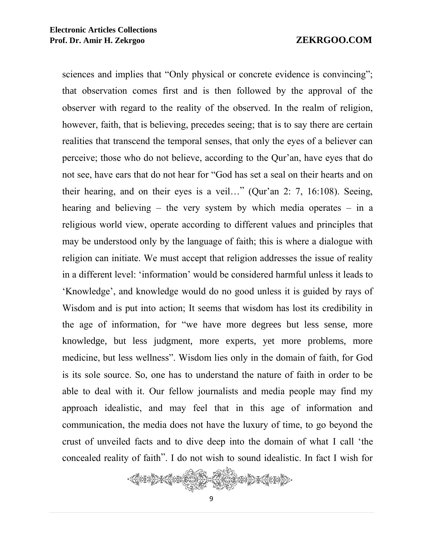sciences and implies that "Only physical or concrete evidence is convincing"; that observation comes first and is then followed by the approval of the observer with regard to the reality of the observed. In the realm of religion, however, faith, that is believing, precedes seeing; that is to say there are certain realities that transcend the temporal senses, that only the eyes of a believer can perceive; those who do not believe, according to the Qur'an, have eyes that do not see, have ears that do not hear for "God has set a seal on their hearts and on their hearing, and on their eyes is a veil…" (Qur'an 2: 7, 16:108). Seeing, hearing and believing – the very system by which media operates – in a religious world view, operate according to different values and principles that may be understood only by the language of faith; this is where a dialogue with religion can initiate. We must accept that religion addresses the issue of reality in a different level: 'information' would be considered harmful unless it leads to 'Knowledge', and knowledge would do no good unless it is guided by rays of Wisdom and is put into action; It seems that wisdom has lost its credibility in the age of information, for "we have more degrees but less sense, more knowledge, but less judgment, more experts, yet more problems, more medicine, but less wellness". Wisdom lies only in the domain of faith, for God is its sole source. So, one has to understand the nature of faith in order to be able to deal with it. Our fellow journalists and media people may find my approach idealistic, and may feel that in this age of information and communication, the media does not have the luxury of time, to go beyond the crust of unveiled facts and to dive deep into the domain of what I call 'the concealed reality of faith". I do not wish to sound idealistic. In fact I wish for